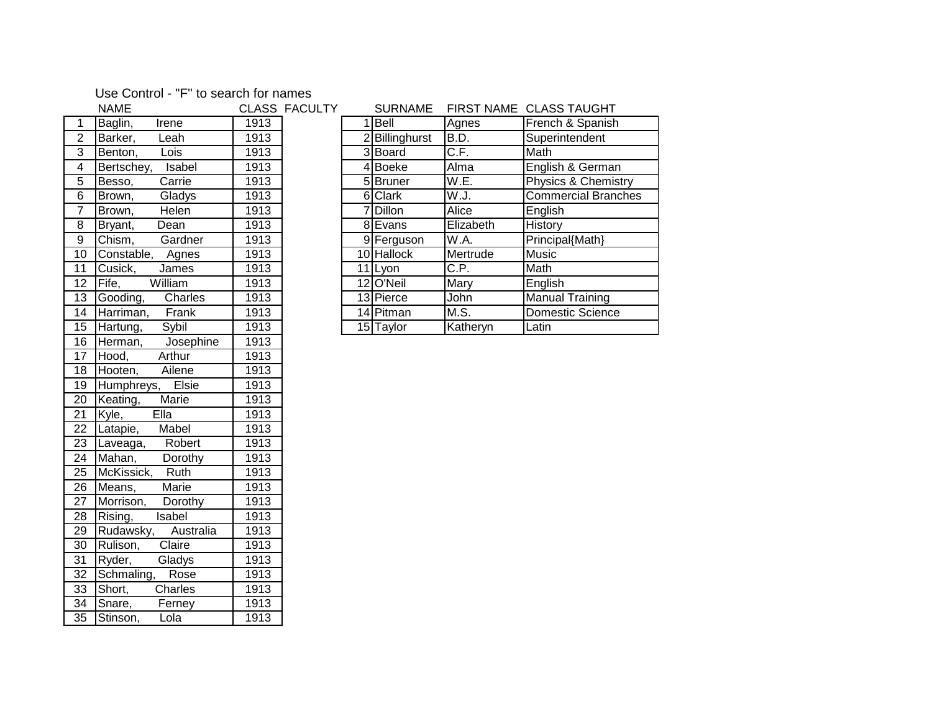## Use Control - "F" to search for names

|                 | <b>NAME</b>                           |                   | CLASS FACULTY |
|-----------------|---------------------------------------|-------------------|---------------|
| 1               | Baglin,<br><b>Trene</b>               | 1913              |               |
| $\overline{2}$  | Barker, Leah                          | 1913              |               |
| $\overline{3}$  | Benton,<br>Lois                       | 1913              |               |
| $\overline{4}$  | Bertschey, Isabel                     | 1913              |               |
| $\overline{5}$  | Carrie<br>Besso,                      | 1913              |               |
| 6               | Gladys<br>Brown,                      | 1913              |               |
| $\overline{7}$  | Helen<br>Brown,                       | 1913              |               |
| 8               | Dean<br>Bryant,                       | 1913              |               |
| $\overline{9}$  | Chism,<br>Gardner                     | 1913              |               |
| 10              | Constable, Agnes                      | 1913              |               |
| $\overline{11}$ | Cusick,<br>James                      | 1913              |               |
| $\overline{12}$ | William<br>Fife,                      | 1913              |               |
| 13              | Gooding, Charles                      | 1913              |               |
| $\overline{14}$ | Harriman, Frank                       | 1913              |               |
| $\overline{15}$ | Hartung, Sybil                        | 1913              |               |
| 16              | Herman, Josephine                     | 1913              |               |
| 17              | Arthur<br>Hood,                       | 1913              |               |
| $\overline{18}$ | Hooten, Ailene                        | 1913              |               |
| $\overline{19}$ | Humphreys, Elsie                      | 1913              |               |
| 20              | Keating, Marie                        | 1913              |               |
| 21              | EIIa<br>Kyle,                         | 1913              |               |
| $\overline{22}$ | Latapie, Mabel                        | 1913              |               |
| 23              | Laveaga, Robert                       | 1913              |               |
| 24              | Mahan,<br>Dorothy                     | 1913              |               |
| 25              | McKissick, Ruth                       | 1913              |               |
| 26              | Marie<br>Means,                       | 1913              |               |
| 27              | Morrison, Dorothy                     | $\overline{1913}$ |               |
| 28              | Rising,<br>Isabel                     | 1913              |               |
| 29              | Rudawsky, Australia                   | 1913              |               |
| $\overline{30}$ | Claire<br>Rulison,                    | 1913              |               |
| 31              | Gladys<br>Ryder,                      | 1913              |               |
| 32              | Schmaling, Rose                       | 1913              |               |
| $\overline{33}$ | $\overline{\text{Short}},$<br>Charles | 1913              |               |
| 34              | Snare,<br>Ferney                      | 1913              |               |
| $\overline{35}$ | Stinson,<br>Lola                      | 1913              |               |

|                 | <b>NAME</b>          | <b>CLASS FACULTY</b> |  | <b>SURNAME</b> |           | FIRST NAME CLASS TAUGHT    |
|-----------------|----------------------|----------------------|--|----------------|-----------|----------------------------|
|                 | Baglin,<br>Irene     | 1913                 |  | Bell           | Agnes     | French & Spanish           |
| $\overline{2}$  | Barker,<br>Leah      | 1913                 |  | Billinghurst   | B.D.      | Superintendent             |
| 3               | Benton,<br>Lois      | 1913                 |  | 3 Board        | C.F.      | Math                       |
| 4               | Isabel<br>Bertschey, | 1913                 |  | 4 Boeke        | Alma      | English & German           |
| $5\phantom{.0}$ | Besso,<br>Carrie     | 1913                 |  | 5 Bruner       | W.E.      | Physics & Chemistry        |
| 6               | Gladys<br>Brown,     | 1913                 |  | 6 Clark        | W.J.      | <b>Commercial Branches</b> |
| $\overline{7}$  | Brown,<br>Helen      | 1913                 |  | 7Dillon        | Alice     | English                    |
| 8               | Bryant,<br>Dean      | 1913                 |  | 8 Evans        | Elizabeth | History                    |
| 9               | Chism,<br>Gardner    | 1913                 |  | 9 Ferguson     | W.A.      | Principal{Math}            |
| 10              | Constable,<br>Agnes  | 1913                 |  | 10 Hallock     | Mertrude  | <b>Music</b>               |
| 11              | Cusick,<br>James     | 1913                 |  | 11 Lyon        | C.P.      | Math                       |
| 12              | Fife,<br>William     | 1913                 |  | 12 O'Neil      | Mary      | English                    |
| 13              | Gooding,<br>Charles  | 1913                 |  | 13 Pierce      | John      | <b>Manual Training</b>     |
| 14              | Harriman,<br>Frank   | 1913                 |  | 14 Pitman      | M.S.      | <b>Domestic Science</b>    |
| 15              | Hartung,<br>Sybil    | 1913                 |  | 15 Taylor      | Katheryn  | Latin                      |
|                 |                      |                      |  |                |           |                            |